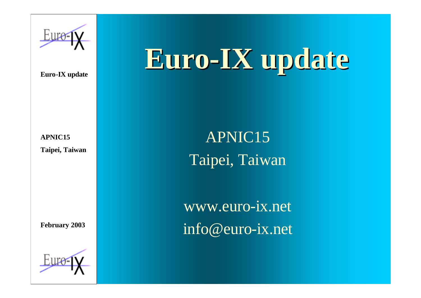

# **Euro-IX update**

**APNIC15 Taipei, Taiwan**

**February 2003**



APNIC15 Taipei, Taiwan

www.euro-ix.net info@euro-ix.net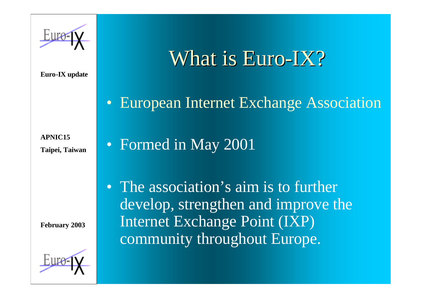### What is Euro-IX?

• European Internet Exchange Association

**APNIC15 Taipei, Taiwan**

• Formed in May 2001

**February 2003**



• The association's aim is to further develop, strengthen and improve the Internet Exchange Point (IXP) community throughout Europe.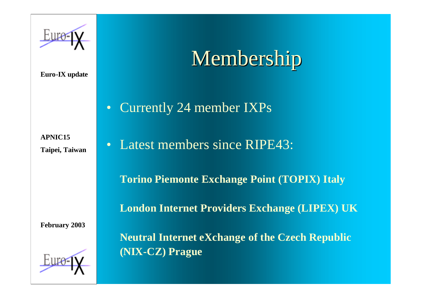## Membership

• Currently 24 member IXPs

**APNIC15 Taipei, Taiwan**

• Latest members since RIPE43:

**Torino Piemonte Exchange Point (TOPIX) Italy**

**London Internet Providers Exchange (LIPEX) UK**

**February 2003**



**Neutral Internet eXchange of the Czech Republic (NIX-CZ) Prague**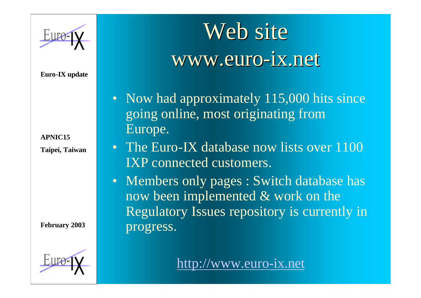**APNIC15 Taipei, Taiwan**

**February 2003**



Web site www.euro-ix.net

- Now had approximately 115,000 hits since going online, most originating from Europe.
- The Euro-IX database now lists over 1100 IXP connected customers.
- Members only pages : Switch database has now been implemented & work on the Regulatory Issues repository is currently in progress.

### http://www.euro-ix.net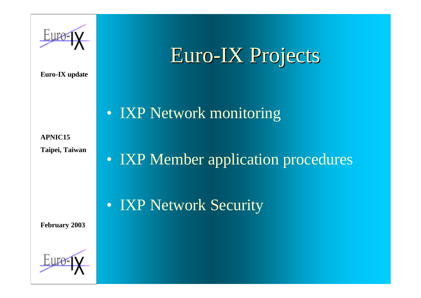

**APNIC15 Taipei, Taiwan**

• IXP Member application procedures

Euro-IX Projects

**February 2003**



• IXP Network Security

• **IXP Network monitoring**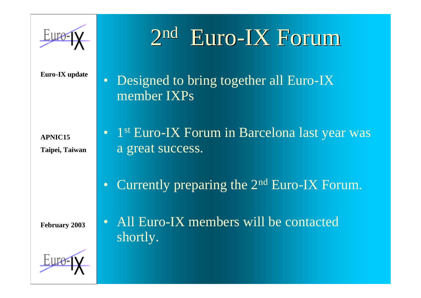

#### $2<sub>nd</sub>$ **Euro-IX Forum**

• Designed to bring together all Euro-IX member IXPs

**APNIC15 Taipei, Taiwan**

- 1<sup>st</sup> Euro-IX Forum in Barcelona last year was a great success.
- Currently preparing the 2<sup>nd</sup> Euro-IX Forum.

**February 2003**



• All Euro-IX members will be contacted shortly.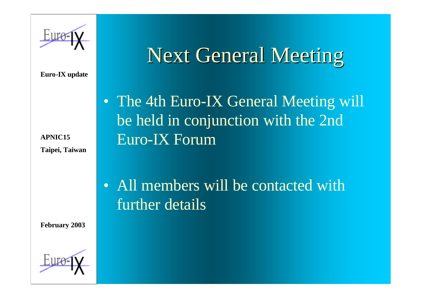

**APNIC15 Taipei, Taiwan**

**February 2003**



## Next General Meeting

• The 4th Euro-IX General Meeting will be held in conjunction with the 2nd Euro-IX Forum

• All members will be contacted with further details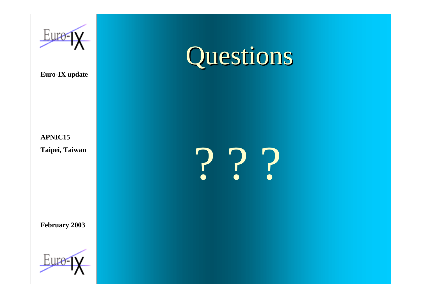

# Questions

#### **APNIC15 Taipei, Taiwan**

**February 2003**



? ? ?